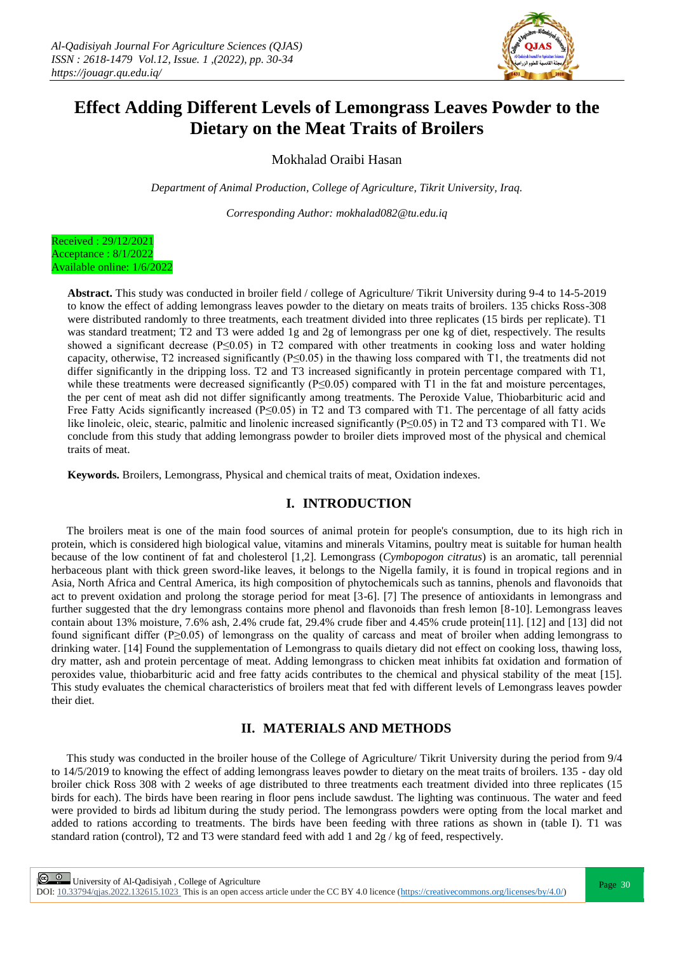

# **Effect Adding Different Levels of Lemongrass Leaves Powder to the Dietary on the Meat Traits of Broilers**

Mokhalad Oraibi Hasan

*Department of Animal Production, College of Agriculture, Tikrit University, Iraq.*

*Corresponding Author: mokhalad082@tu.edu.iq*



**Abstract.** This study was conducted in broiler field / college of Agriculture/ Tikrit University during 9-4 to 14-5-2019 to know the effect of adding lemongrass leaves powder to the dietary on meats traits of broilers. 135 chicks Ross-308 were distributed randomly to three treatments, each treatment divided into three replicates (15 birds per replicate). T1 was standard treatment; T2 and T3 were added 1g and 2g of lemongrass per one kg of diet, respectively. The results showed a significant decrease (P≤0.05) in T2 compared with other treatments in cooking loss and water holding capacity, otherwise, T2 increased significantly ( $P\leq 0.05$ ) in the thawing loss compared with T1, the treatments did not differ significantly in the dripping loss. T2 and T3 increased significantly in protein percentage compared with T1, while these treatments were decreased significantly (P≤0.05) compared with T1 in the fat and moisture percentages, the per cent of meat ash did not differ significantly among treatments. The Peroxide Value, Thiobarbituric acid and Free Fatty Acids significantly increased (P≤0.05) in T2 and T3 compared with T1. The percentage of all fatty acids like linoleic, oleic, stearic, palmitic and linolenic increased significantly (P≤0.05) in T2 and T3 compared with T1. We conclude from this study that adding lemongrass powder to broiler diets improved most of the physical and chemical traits of meat.

**Keywords.** Broilers, Lemongrass, Physical and chemical traits of meat, Oxidation indexes.

### **I. INTRODUCTION**

The broilers meat is one of the main food sources of animal protein for people's consumption, due to its high rich in protein, which is considered high biological value, vitamins and minerals Vitamins, poultry meat is suitable for human health because of the low continent of fat and cholesterol [1,2]. Lemongrass (*Cymbopogon citratus*) is an aromatic, tall perennial herbaceous plant with thick green sword-like leaves, it belongs to the Nigella family, it is found in tropical regions and in Asia, North Africa and Central America, its high composition of phytochemicals such as tannins, phenols and flavonoids that act to prevent oxidation and prolong the storage period for meat [3-6]. [7] The presence of antioxidants in lemongrass and further suggested that the dry lemongrass contains more phenol and flavonoids than fresh lemon [8-10]. Lemongrass leaves contain about 13% moisture, 7.6% ash, 2.4% crude fat, 29.4% crude fiber and 4.45% crude protein[11]. [12] and [13] did not found significant differ (P≥0.05) of lemongrass on the quality of carcass and meat of broiler when adding lemongrass to drinking water. [14] Found the supplementation of Lemongrass to quails dietary did not effect on cooking loss, thawing loss, dry matter, ash and protein percentage of meat. Adding lemongrass to chicken meat inhibits fat oxidation and formation of peroxides value, thiobarbituric acid and free fatty acids contributes to the chemical and physical stability of the meat [15]. This study evaluates the chemical characteristics of broilers meat that fed with different levels of Lemongrass leaves powder their diet.

## **II. MATERIALS AND METHODS**

This study was conducted in the broiler house of the College of Agriculture/ Tikrit University during the period from 9/4 to 14/5/2019 to knowing the effect of adding lemongrass leaves powder to dietary on the meat traits of broilers. 135 - day old broiler chick Ross 308 with 2 weeks of age distributed to three treatments each treatment divided into three replicates (15 birds for each). The birds have been rearing in floor pens include sawdust. The lighting was continuous. The water and feed were provided to birds ad libitum during the study period. The lemongrass powders were opting from the local market and added to rations according to treatments. The birds have been feeding with three rations as shown in (table I). T1 was standard ration (control), T2 and T3 were standard feed with add 1 and 2g / kg of feed, respectively.

**Page 30**<br>Page 30

DOI:  $10.33794$ /qjas.2022.132615.1023 This is an open access article under the CC BY 4.0 licence (https://creativecommons.org/licenses/by/4.0/)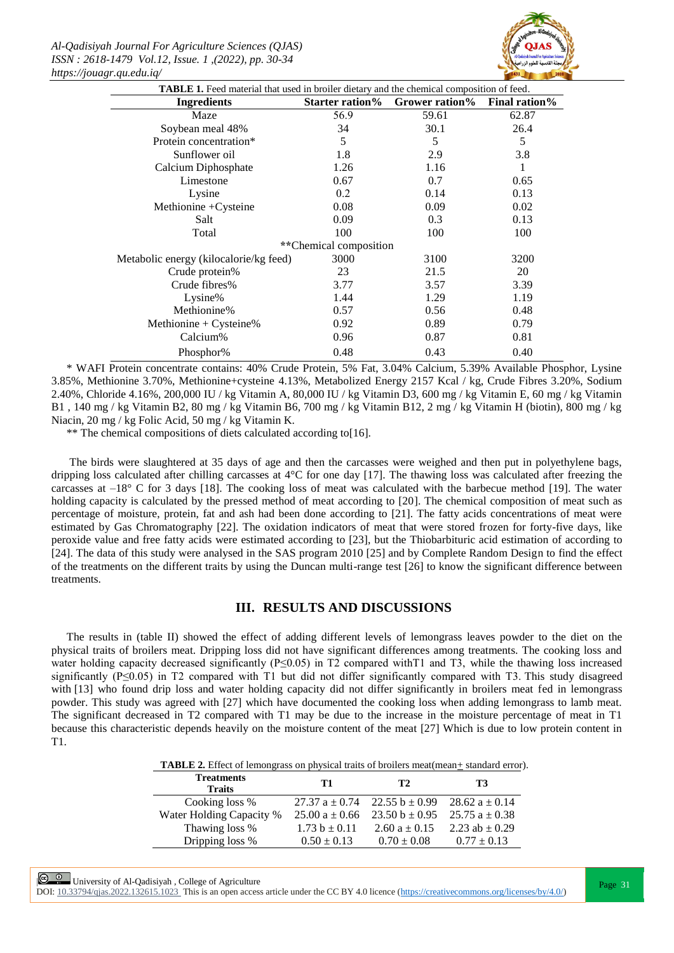*Al-Qadisiyah Journal For Agriculture Sciences (QJAS) ISSN : 2618-1479 Vol.12, Issue. 1 ,(2022), pp. 30-34 https://jouagr.qu.edu.iq/*



| <b>Ingredients</b>                     | Starter ration% | Grower ration% | <b>Final ration%</b> |  |
|----------------------------------------|-----------------|----------------|----------------------|--|
| Maze                                   | 56.9            | 59.61          | 62.87                |  |
| Soybean meal 48%                       | 34              | 30.1           | 26.4                 |  |
| Protein concentration*                 | 5               | 5              | 5                    |  |
| Sunflower oil                          | 1.8             | 2.9            | 3.8                  |  |
| Calcium Diphosphate                    | 1.26            | 1.16           | 1                    |  |
| Limestone                              | 0.67            | 0.7            | 0.65                 |  |
| Lysine                                 | 0.2             | 0.14           | 0.13                 |  |
| Methionine + Cysteine                  | 0.08            | 0.09           | 0.02                 |  |
| Salt                                   | 0.09            | 0.3            | 0.13                 |  |
| Total                                  | 100             | 100            | 100                  |  |
| **Chemical composition                 |                 |                |                      |  |
| Metabolic energy (kilocalorie/kg feed) | 3000            | 3100           | 3200                 |  |
| Crude protein%                         | 23              | 21.5           | 20                   |  |
| Crude fibres%                          | 3.77            | 3.57           | 3.39                 |  |
| Lysine%                                | 1.44            | 1.29           | 1.19                 |  |
| Methionine%                            | 0.57            | 0.56           | 0.48                 |  |
| Methionine + $C$ ysteine%              | 0.92            | 0.89           | 0.79                 |  |
| Calcium%                               | 0.96            | 0.87           | 0.81                 |  |
| Phosphor%                              | 0.48            | 0.43           | 0.40                 |  |

\* WAFI Protein concentrate contains: 40% Crude Protein, 5% Fat, 3.04% Calcium, 5.39% Available Phosphor, Lysine 3.85%, Methionine 3.70%, Methionine+cysteine 4.13%, Metabolized Energy 2157 Kcal / kg, Crude Fibres 3.20%, Sodium 2.40%, Chloride 4.16%, 200,000 IU / kg Vitamin A, 80,000 IU / kg Vitamin D3, 600 mg / kg Vitamin E, 60 mg / kg Vitamin B1 , 140 mg / kg Vitamin B2, 80 mg / kg Vitamin B6, 700 mg / kg Vitamin B12, 2 mg / kg Vitamin H (biotin), 800 mg / kg Niacin, 20 mg / kg Folic Acid, 50 mg / kg Vitamin K.

\*\* The chemical compositions of diets calculated according to[16].

The birds were slaughtered at 35 days of age and then the carcasses were weighed and then put in polyethylene bags, dripping loss calculated after chilling carcasses at 4°C for one day [17]. The thawing loss was calculated after freezing the carcasses at  $-18^{\circ}$  C for 3 days [18]. The cooking loss of meat was calculated with the barbecue method [19]. The water holding capacity is calculated by the pressed method of meat according to [20]. The chemical composition of meat such as percentage of moisture, protein, fat and ash had been done according to [21]. The fatty acids concentrations of meat were estimated by Gas Chromatography [22]. The oxidation indicators of meat that were stored frozen for forty-five days, like peroxide value and free fatty acids were estimated according to [23], but the Thiobarbituric acid estimation of according to [24]. The data of this study were analysed in the SAS program 2010 [25] and by Complete Random Design to find the effect of the treatments on the different traits by using the Duncan multi-range test [26] to know the significant difference between treatments.

#### **III. RESULTS AND DISCUSSIONS**

The results in (table II) showed the effect of adding different levels of lemongrass leaves powder to the diet on the physical traits of broilers meat. Dripping loss did not have significant differences among treatments. The cooking loss and water holding capacity decreased significantly ( $P \le 0.05$ ) in T2 compared with T1 and T3, while the thawing loss increased significantly (P≤0.05) in T2 compared with T1 but did not differ significantly compared with T3. This study disagreed with [13] who found drip loss and water holding capacity did not differ significantly in broilers meat fed in lemongrass powder. This study was agreed with [27] which have documented the cooking loss when adding lemongrass to lamb meat. The significant decreased in T2 compared with T1 may be due to the increase in the moisture percentage of meat in T1 because this characteristic depends heavily on the moisture content of the meat [27] Which is due to low protein content in T1.

**TABLE 2.** Effect of lemongrass on physical traits of broilers meat(mean+ standard error).

| <b>Treatments</b><br><b>Traits</b> | T1                 | T <sub>2</sub>                                           | Т3                 |
|------------------------------------|--------------------|----------------------------------------------------------|--------------------|
| Cooking loss %                     |                    | 27.37 $a \pm 0.74$ 22.55 $b \pm 0.99$ 28.62 $a \pm 0.14$ |                    |
| Water Holding Capacity %           | $25.00 a \pm 0.66$ | $23.50 b \pm 0.95$                                       | $25.75 a \pm 0.38$ |
| Thawing loss %                     | $1.73 b \pm 0.11$  | 2.60 $a \pm 0.15$                                        | 2.23 ab $\pm$ 0.29 |
| Dripping loss %                    | $0.50 \pm 0.13$    | $0.70 \pm 0.08$                                          | $0.77 \pm 0.13$    |

 $\circled{e}$  University of Al-Qadisiyah, College of Agriculture<br>  $\circled{e}$  University of Al-Qadisiyah, College of Agriculture

DOI:  $10.33794/q$ jas.2022.132615.1023 This is an open access article under the CC BY 4.0 licence (https://creativecommons.org/licenses/by/4.0/)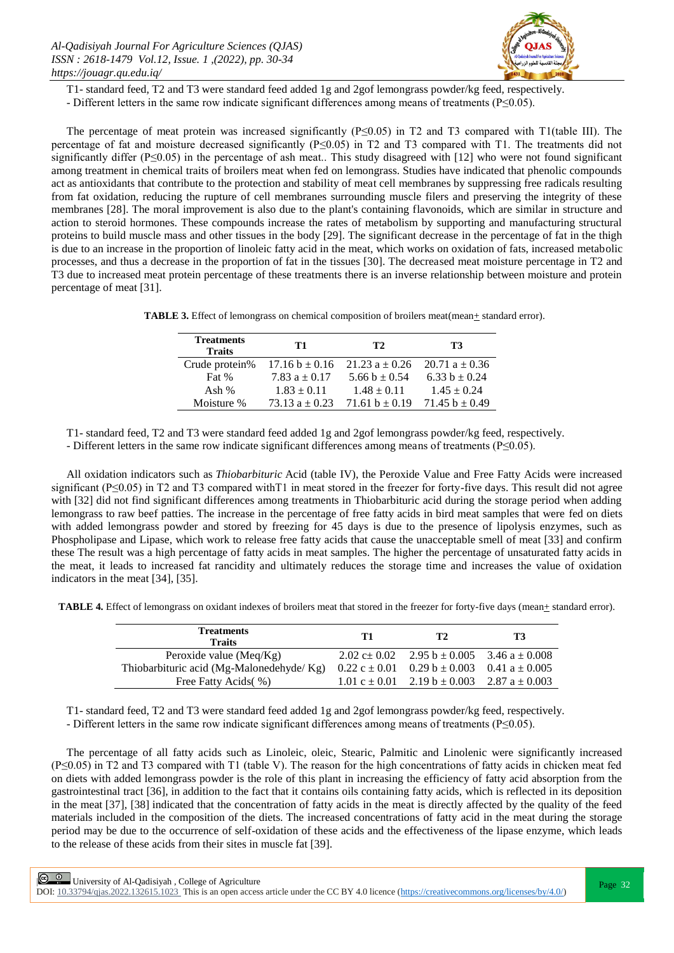

T1- standard feed, T2 and T3 were standard feed added 1g and 2gof lemongrass powder/kg feed, respectively.

- Different letters in the same row indicate significant differences among means of treatments (P≤0.05).

The percentage of meat protein was increased significantly (P≤0.05) in T2 and T3 compared with T1(table III). The percentage of fat and moisture decreased significantly (P≤0.05) in T2 and T3 compared with T1. The treatments did not significantly differ ( $P \le 0.05$ ) in the percentage of ash meat.. This study disagreed with [12] who were not found significant among treatment in chemical traits of broilers meat when fed on lemongrass. Studies have indicated that phenolic compounds act as antioxidants that contribute to the protection and stability of meat cell membranes by suppressing free radicals resulting from fat oxidation, reducing the rupture of cell membranes surrounding muscle filers and preserving the integrity of these membranes [28]. The moral improvement is also due to the plant's containing flavonoids, which are similar in structure and action to steroid hormones. These compounds increase the rates of metabolism by supporting and manufacturing structural proteins to build muscle mass and other tissues in the body [29]. The significant decrease in the percentage of fat in the thigh is due to an increase in the proportion of linoleic fatty acid in the meat, which works on oxidation of fats, increased metabolic processes, and thus a decrease in the proportion of fat in the tissues [30]. The decreased meat moisture percentage in T2 and T3 due to increased meat protein percentage of these treatments there is an inverse relationship between moisture and protein percentage of meat [31].

**TABLE 3.** Effect of lemongrass on chemical composition of broilers meat(mean $+$  standard error).

| <b>Treatments</b><br><b>Traits</b> | T1                 | T <sub>2</sub>                  | T3                 |
|------------------------------------|--------------------|---------------------------------|--------------------|
| Crude protein%                     | $17.16 b \pm 0.16$ | $21.23 a + 0.26$ 20.71 a + 0.36 |                    |
| Fat %                              | 7.83 $a \pm 0.17$  | 5.66 b $\pm$ 0.54               | 6.33 $b \pm 0.24$  |
| Ash $%$                            | $1.83 \pm 0.11$    | $1.48 \pm 0.11$                 | $1.45 \pm 0.24$    |
| Moisture %                         | $73.13 a + 0.23$   | 71.61 $b \pm 0.19$              | 71.45 $b \pm 0.49$ |

T1- standard feed, T2 and T3 were standard feed added 1g and 2gof lemongrass powder/kg feed, respectively.

- Different letters in the same row indicate significant differences among means of treatments (P≤0.05).

All oxidation indicators such as *Thiobarbituric* Acid (table IV), the Peroxide Value and Free Fatty Acids were increased significant (P $\leq$ 0.05) in T2 and T3 compared with T1 in meat stored in the freezer for forty-five days. This result did not agree with [32] did not find significant differences among treatments in Thiobarbituric acid during the storage period when adding lemongrass to raw beef patties. The increase in the percentage of free fatty acids in bird meat samples that were fed on diets with added lemongrass powder and stored by freezing for 45 days is due to the presence of lipolysis enzymes, such as Phospholipase and Lipase, which work to release free fatty acids that cause the unacceptable smell of meat [33] and confirm these The result was a high percentage of fatty acids in meat samples. The higher the percentage of unsaturated fatty acids in the meat, it leads to increased fat rancidity and ultimately reduces the storage time and increases the value of oxidation indicators in the meat [34], [35].

**TABLE 4.** Effect of lemongrass on oxidant indexes of broilers meat that stored in the freezer for forty-five days (mean+ standard error).

| <b>Treatments</b><br><b>Traits</b>       | T1 | T2                                                      | T3 |
|------------------------------------------|----|---------------------------------------------------------|----|
| Peroxide value ( $Meq/Kg$ )              |    | 2.02 c ± 0.02 2.95 b ± 0.005 3.46 a ± 0.008             |    |
| Thiobarbituric acid (Mg-Malonedehyde/Kg) |    | $0.22 c \pm 0.01$ $0.29 b \pm 0.003$ $0.41 a \pm 0.005$ |    |
| Free Fatty Acids(%)                      |    | 1.01 c $\pm$ 0.01 2.19 b $\pm$ 0.003 2.87 a $\pm$ 0.003 |    |

T1- standard feed, T2 and T3 were standard feed added 1g and 2gof lemongrass powder/kg feed, respectively. - Different letters in the same row indicate significant differences among means of treatments (P≤0.05).

The percentage of all fatty acids such as Linoleic, oleic, Stearic, Palmitic and Linolenic were significantly increased (P≤0.05) in T2 and T3 compared with T1 (table V). The reason for the high concentrations of fatty acids in chicken meat fed on diets with added lemongrass powder is the role of this plant in increasing the efficiency of fatty acid absorption from the gastrointestinal tract [36], in addition to the fact that it contains oils containing fatty acids, which is reflected in its deposition in the meat [37], [38] indicated that the concentration of fatty acids in the meat is directly affected by the quality of the feed materials included in the composition of the diets. The increased concentrations of fatty acid in the meat during the storage period may be due to the occurrence of self-oxidation of these acids and the effectiveness of the lipase enzyme, which leads to the release of these acids from their sites in muscle fat [39].

 $\boxed{\odot}$   $\odot$  University of Al-Qadisiyah, College of Agriculture<br>  $\boxed{\qquad}$  Page 32 DOI:  $10.33794$ /qjas.2022.132615.1023 This is an open access article under the CC BY 4.0 licence (https://creativecommons.org/licenses/by/4.0/)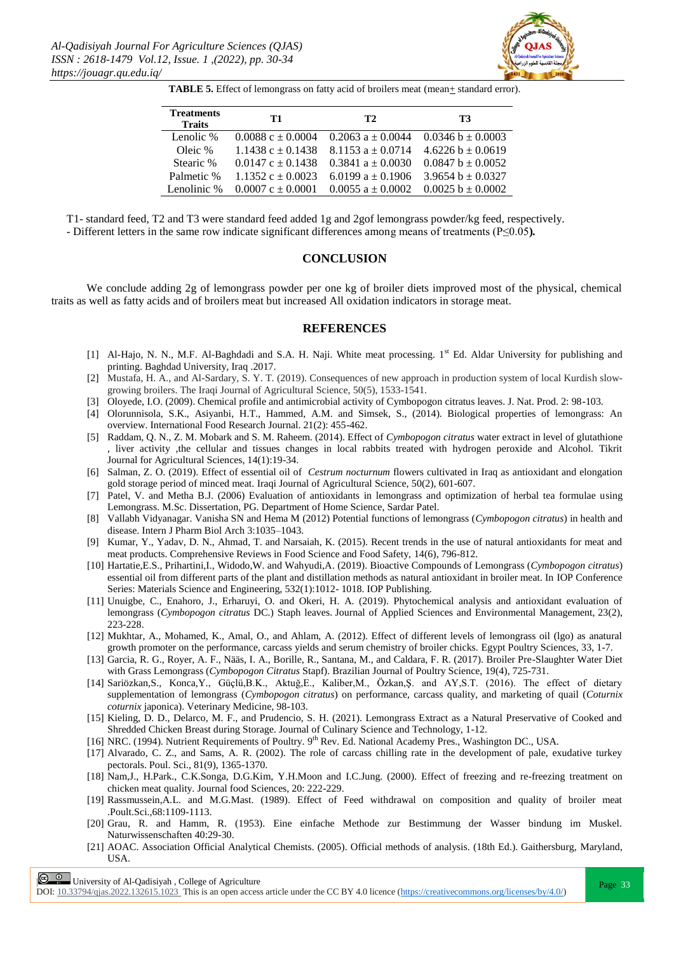

**TABLE 5.** Effect of lemongrass on fatty acid of broilers meat (mean+ standard error).

| <b>Treatments</b><br><b>Traits</b> | T1                      | T <sub>2</sub>        | T3                    |
|------------------------------------|-------------------------|-----------------------|-----------------------|
| Lenolic %                          | $0.0088c + 0.0004$      | $0.2063 a + 0.0044$   | $0.0346 b + 0.0003$   |
| Oleic %                            | $1.1438$ c $\pm$ 0.1438 | $8.1153a + 0.0714$    | $4.6226 b + 0.0619$   |
| Stearic %                          | $0.0147c + 0.1438$      | $0.3841 a + 0.0030$   | $0.0847 b + 0.0052$   |
| Palmetic %                         | $1.1352c + 0.0023$      | 6.0199 $a \pm 0.1906$ | 3.9654 b $\pm$ 0.0327 |
| Lenolinic %                        | $0.0007c + 0.0001$      | $0.0055 a + 0.0002$   | $0.0025 b \pm 0.0002$ |

T1- standard feed, T2 and T3 were standard feed added 1g and 2gof lemongrass powder/kg feed, respectively. - Different letters in the same row indicate significant differences among means of treatments (P≤0.05**)***.*

#### **CONCLUSION**

 We conclude adding 2g of lemongrass powder per one kg of broiler diets improved most of the physical, chemical traits as well as fatty acids and of broilers meat but increased All oxidation indicators in storage meat.

#### **REFERENCES**

- [1] Al-Hajo, N. N., M.F. Al-Baghdadi and S.A. H. Naji. White meat processing. 1<sup>st</sup> Ed. Aldar University for publishing and printing. Baghdad University, Iraq .2017.
- [2] Mustafa, H. A., and Al-Sardary, S. Y. T. (2019). Consequences of new approach in production system of local Kurdish slowgrowing broilers. The Iraqi Journal of Agricultural Science, 50(5), 1533-1541.
- [3] Oloyede, I.O. (2009). Chemical profile and antimicrobial activity of Cymbopogon citratus leaves. J. Nat. Prod. 2: 98-103.
- [4] Olorunnisola, S.K., Asiyanbi, H.T., Hammed, A.M. and Simsek, S., (2014). Biological properties of lemongrass: An overview. International Food Research Journal. 21(2): 455-462.
- [5] Raddam, Q. N., Z. M. Mobark and S. M. Raheem. (2014). Effect of *Cymbopogon citratus* water extract in level of glutathione , liver activity ,the cellular and tissues changes in local rabbits treated with hydrogen peroxide and Alcohol. Tikrit Journal for Agricultural Sciences, 14(1):19-34.
- [6] Salman, Z. O. (2019). Effect of essential oil of *Cestrum nocturnum* flowers cultivated in Iraq as antioxidant and elongation gold storage period of minced meat. Iraqi Journal of Agricultural Science, 50(2), 601-607.
- [7] Patel, V. and Metha B.J. (2006) Evaluation of antioxidants in lemongrass and optimization of herbal tea formulae using Lemongrass. M.Sc. Dissertation, PG. Department of Home Science, Sardar Patel.
- [8] Vallabh Vidyanagar. Vanisha SN and Hema M (2012) Potential functions of lemongrass (*Cymbopogon citratus*) in health and disease. Intern J Pharm Biol Arch 3:1035–1043.
- [9] Kumar, Y., Yadav, D. N., Ahmad, T. and Narsaiah, K. (2015). Recent trends in the use of natural antioxidants for meat and meat products. Comprehensive Reviews in Food Science and Food Safety, 14(6), 796-812.
- [10] Hartatie,E.S., Prihartini,I., Widodo,W. and Wahyudi,A. (2019). Bioactive Compounds of Lemongrass (*Cymbopogon citratus*) essential oil from different parts of the plant and distillation methods as natural antioxidant in broiler meat. In IOP Conference Series: Materials Science and Engineering, 532(1):1012- 1018. IOP Publishing.
- [11] Unuigbe, C., Enahoro, J., Erharuyi, O. and Okeri, H. A. (2019). Phytochemical analysis and antioxidant evaluation of lemongrass (*Cymbopogon citratus* DC.) Staph leaves. Journal of Applied Sciences and Environmental Management, 23(2), 223-228.
- [12] Mukhtar, A., Mohamed, K., Amal, O., and Ahlam, A. (2012). Effect of different levels of lemongrass oil (lgo) as anatural growth promoter on the performance, carcass yields and serum chemistry of broiler chicks. Egypt Poultry Sciences, 33, 1-7.
- [13] Garcia, R. G., Royer, A. F., Nääs, I. A., Borille, R., Santana, M., and Caldara, F. R. (2017). Broiler Pre-Slaughter Water Diet with Grass Lemongrass (*Cymbopogon Citratus* Stapf). Brazilian Journal of Poultry Science, 19(4), 725-731.
- [14] Sariözkan,S., Konca,Y., Güçlü,B.K., Aktuğ,E., Kaliber,M., Özkan,Ş. and AY,S.T. (2016). The effect of dietary supplementation of lemongrass (*Cymbopogon citratus*) on performance, carcass quality, and marketing of quail (*Coturnix coturnix* japonica). Veterinary Medicine, 98-103.
- [15] Kieling, D. D., Delarco, M. F., and Prudencio, S. H. (2021). Lemongrass Extract as a Natural Preservative of Cooked and Shredded Chicken Breast during Storage. Journal of Culinary Science and Technology, 1-12.
- [16] NRC. (1994). Nutrient Requirements of Poultry. 9<sup>th</sup> Rev. Ed. National Academy Pres., Washington DC., USA.
- [17] Alvarado, C. Z., and Sams, A. R. (2002). The role of carcass chilling rate in the development of pale, exudative turkey pectorals. Poul. Sci., 81(9), 1365-1370.
- [18] Nam,J., H.Park., C.K.Songa, D.G.Kim, Y.H.Moon and I.C.Jung. (2000). Effect of freezing and re-freezing treatment on chicken meat quality. Journal food Sciences, 20: 222-229.
- [19] Rassmussein,A.L. and M.G.Mast. (1989). Effect of Feed withdrawal on composition and quality of broiler meat .Poult.Sci.,68:1109-1113.
- [20] Grau, R. and Hamm, R. (1953). Eine einfache Methode zur Bestimmung der Wasser bindung im Muskel. Naturwissenschaften 40:29-30.
- [21] AOAC. Association Official Analytical Chemists. (2005). Official methods of analysis. (18th Ed.). Gaithersburg, Maryland, USA.

 $\boxed{\odot}$   $\odot$  University of Al-Qadisiyah, College of Agriculture

DOI:  $10.33794$ /qjas.2022.132615.1023 This is an open access article under the CC BY 4.0 licence (https://creativecommons.org/licenses/by/4.0/)